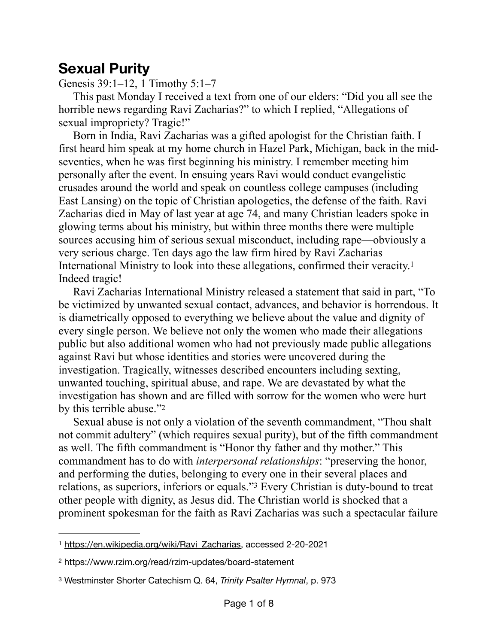## **Sexual Purity**

Genesis 39:1–12, 1 Timothy 5:1–7

This past Monday I received a text from one of our elders: "Did you all see the horrible news regarding Ravi Zacharias?" to which I replied, "Allegations of sexual impropriety? Tragic!"

Born in India, Ravi Zacharias was a gifted apologist for the Christian faith. I first heard him speak at my home church in Hazel Park, Michigan, back in the midseventies, when he was first beginning his ministry. I remember meeting him personally after the event. In ensuing years Ravi would conduct evangelistic crusades around the world and speak on countless college campuses (including East Lansing) on the topic of Christian apologetics, the defense of the faith. Ravi Zacharias died in May of last year at age 74, and many Christian leaders spoke in glowing terms about his ministry, but within three months there were multiple sources accusing him of serious sexual misconduct, including rape—obviously a very serious charge. Ten days ago the law firm hired by Ravi Zacharias International Ministry to look into these allegations, confirmed their veracity.[1](#page-0-0) Indeed tragic!

<span id="page-0-3"></span>Ravi Zacharias International Ministry released a statement that said in part, "To be victimized by unwanted sexual contact, advances, and behavior is horrendous. It is diametrically opposed to everything we believe about the value and dignity of every single person. We believe not only the women who made their allegations public but also additional women who had not previously made public allegations against Ravi but whose identities and stories were uncovered during the investigation. Tragically, witnesses described encounters including sexting, unwanted touching, spiritual abuse, and rape. We are devastated by what the investigation has shown and are filled with sorrow for the women who were hurt by this terrible abuse."[2](#page-0-1)

<span id="page-0-4"></span>Sexual abuse is not only a violation of the seventh commandment, "Thou shalt not commit adultery" (which requires sexual purity), but of the fifth commandment as well. The fifth commandment is "Honor thy father and thy mother." This commandment has to do with *interpersonal relationships*: "preserving the honor, and performing the duties, belonging to every one in their several places and relations, as superiors, inferiors or equals."<sup>[3](#page-0-2)</sup> Every Christian is duty-bound to treat other people with dignity, as Jesus did. The Christian world is shocked that a prominent spokesman for the faith as Ravi Zacharias was such a spectacular failure

<span id="page-0-5"></span><span id="page-0-0"></span>[<sup>1</sup>](#page-0-3) [https://en.wikipedia.org/wiki/Ravi\\_Zacharias](https://en.wikipedia.org/wiki/Ravi_Zacharias), accessed 2-20-2021

<span id="page-0-1"></span>https://www.rzim.org/read/rzim-updates/board-statement [2](#page-0-4)

<span id="page-0-2"></span>[<sup>3</sup>](#page-0-5) Westminster Shorter Catechism Q. 64, *Trinity Psalter Hymnal*, p. 973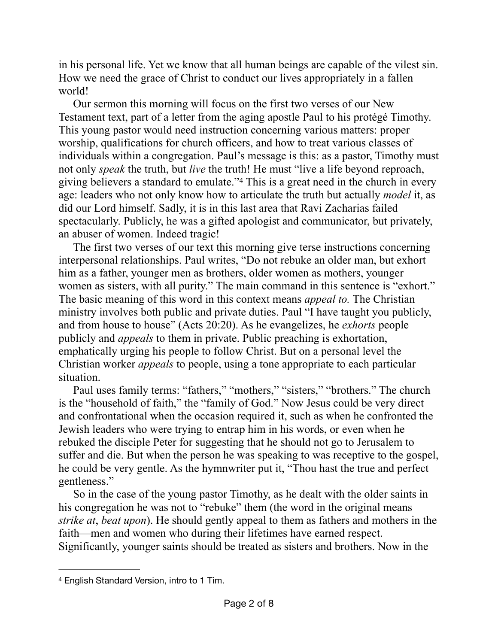in his personal life. Yet we know that all human beings are capable of the vilest sin. How we need the grace of Christ to conduct our lives appropriately in a fallen world!

Our sermon this morning will focus on the first two verses of our New Testament text, part of a letter from the aging apostle Paul to his protégé Timothy. This young pastor would need instruction concerning various matters: proper worship, qualifications for church officers, and how to treat various classes of individuals within a congregation. Paul's message is this: as a pastor, Timothy must not only *speak* the truth, but *live* the truth! He must "live a life beyond reproach, giving believers a standard to emulate.["](#page-1-0)<sup>[4](#page-1-0)</sup> This is a great need in the church in every age: leaders who not only know how to articulate the truth but actually *model* it, as did our Lord himself. Sadly, it is in this last area that Ravi Zacharias failed spectacularly. Publicly, he was a gifted apologist and communicator, but privately, an abuser of women. Indeed tragic!

<span id="page-1-1"></span>The first two verses of our text this morning give terse instructions concerning interpersonal relationships. Paul writes, "Do not rebuke an older man, but exhort him as a father, younger men as brothers, older women as mothers, younger women as sisters, with all purity." The main command in this sentence is "exhort." The basic meaning of this word in this context means *appeal to.* The Christian ministry involves both public and private duties. Paul "I have taught you publicly, and from house to house" (Acts 20:20). As he evangelizes, he *exhorts* people publicly and *appeals* to them in private. Public preaching is exhortation, emphatically urging his people to follow Christ. But on a personal level the Christian worker *appeals* to people, using a tone appropriate to each particular situation.

Paul uses family terms: "fathers," "mothers," "sisters," "brothers." The church is the "household of faith," the "family of God." Now Jesus could be very direct and confrontational when the occasion required it, such as when he confronted the Jewish leaders who were trying to entrap him in his words, or even when he rebuked the disciple Peter for suggesting that he should not go to Jerusalem to suffer and die. But when the person he was speaking to was receptive to the gospel, he could be very gentle. As the hymnwriter put it, "Thou hast the true and perfect gentleness."

So in the case of the young pastor Timothy, as he dealt with the older saints in his congregation he was not to "rebuke" them (the word in the original means *strike at*, *beat upon*). He should gently appeal to them as fathers and mothers in the faith—men and women who during their lifetimes have earned respect. Significantly, younger saints should be treated as sisters and brothers. Now in the

<span id="page-1-0"></span>[<sup>4</sup>](#page-1-1) English Standard Version, intro to 1 Tim.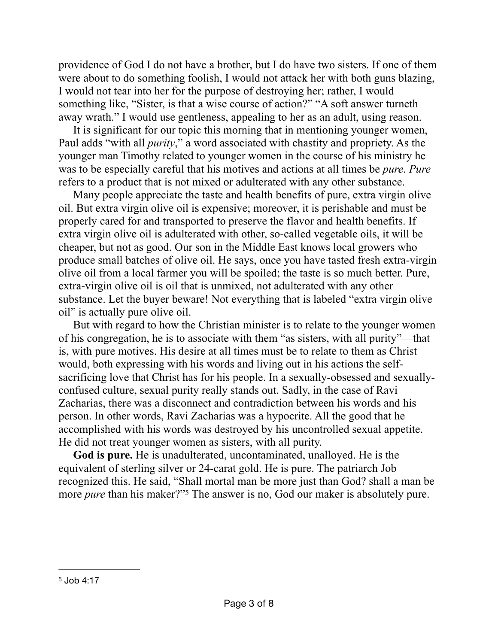providence of God I do not have a brother, but I do have two sisters. If one of them were about to do something foolish, I would not attack her with both guns blazing, I would not tear into her for the purpose of destroying her; rather, I would something like, "Sister, is that a wise course of action?" "A soft answer turneth away wrath." I would use gentleness, appealing to her as an adult, using reason.

It is significant for our topic this morning that in mentioning younger women, Paul adds "with all *purity*," a word associated with chastity and propriety. As the younger man Timothy related to younger women in the course of his ministry he was to be especially careful that his motives and actions at all times be *pure*. *Pure* refers to a product that is not mixed or adulterated with any other substance.

Many people appreciate the taste and health benefits of pure, extra virgin olive oil. But extra virgin olive oil is expensive; moreover, it is perishable and must be properly cared for and transported to preserve the flavor and health benefits. If extra virgin olive oil is adulterated with other, so-called vegetable oils, it will be cheaper, but not as good. Our son in the Middle East knows local growers who produce small batches of olive oil. He says, once you have tasted fresh extra-virgin olive oil from a local farmer you will be spoiled; the taste is so much better. Pure, extra-virgin olive oil is oil that is unmixed, not adulterated with any other substance. Let the buyer beware! Not everything that is labeled "extra virgin olive oil" is actually pure olive oil.

But with regard to how the Christian minister is to relate to the younger women of his congregation, he is to associate with them "as sisters, with all purity"—that is, with pure motives. His desire at all times must be to relate to them as Christ would, both expressing with his words and living out in his actions the selfsacrificing love that Christ has for his people. In a sexually-obsessed and sexuallyconfused culture, sexual purity really stands out. Sadly, in the case of Ravi Zacharias, there was a disconnect and contradiction between his words and his person. In other words, Ravi Zacharias was a hypocrite. All the good that he accomplished with his words was destroyed by his uncontrolled sexual appetite. He did not treat younger women as sisters, with all purity.

<span id="page-2-1"></span>**God is pure.** He is unadulterated, uncontaminated, unalloyed. He is the equivalent of sterling silver or 24-carat gold. He is pure. The patriarch Job recognized this. He said, "Shall mortal man be more just than God? shall a man be more *pure* than his maker?"<sup>5</sup> The answer is no, God our maker is absolutely pure.

<span id="page-2-0"></span>[<sup>5</sup>](#page-2-1) Job 4:17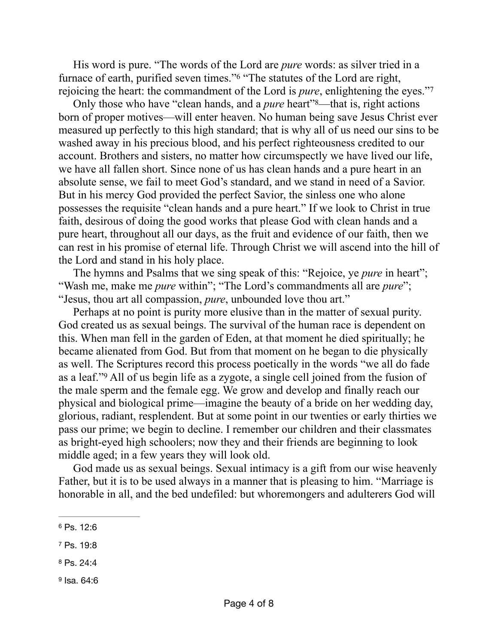<span id="page-3-4"></span>His word is pure. "The words of the Lord are *pure* words: as silver tried in a furnaceof earth, purified seven times."<sup>[6](#page-3-0)</sup> "The statutes of the Lord are right, rejoicing the heart: the commandment of the Lord is *pure*, enlightening the eyes."[7](#page-3-1)

<span id="page-3-6"></span><span id="page-3-5"></span>Only those who have "clean hands, and a *pure* heart"<sup>8</sup>[—](#page-3-2)that is, right actions born of proper motives—will enter heaven. No human being save Jesus Christ ever measured up perfectly to this high standard; that is why all of us need our sins to be washed away in his precious blood, and his perfect righteousness credited to our account. Brothers and sisters, no matter how circumspectly we have lived our life, we have all fallen short. Since none of us has clean hands and a pure heart in an absolute sense, we fail to meet God's standard, and we stand in need of a Savior. But in his mercy God provided the perfect Savior, the sinless one who alone possesses the requisite "clean hands and a pure heart." If we look to Christ in true faith, desirous of doing the good works that please God with clean hands and a pure heart, throughout all our days, as the fruit and evidence of our faith, then we can rest in his promise of eternal life. Through Christ we will ascend into the hill of the Lord and stand in his holy place.

The hymns and Psalms that we sing speak of this: "Rejoice, ye *pure* in heart"; "Wash me, make me *pure* within"; "The Lord's commandments all are *pure*"; "Jesus, thou art all compassion, *pure*, unbounded love thou art."

<span id="page-3-7"></span>Perhaps at no point is purity more elusive than in the matter of sexual purity. God created us as sexual beings. The survival of the human race is dependent on this. When man fell in the garden of Eden, at that moment he died spiritually; he became alienated from God. But from that moment on he began to die physically as well. The Scriptures record this process poetically in the words "we all do fade as a leaf."<sup>[9](#page-3-3)</sup> All of us begin life as a zygote, a single cell joined from the fusion of the male sperm and the female egg. We grow and develop and finally reach our physical and biological prime—imagine the beauty of a bride on her wedding day, glorious, radiant, resplendent. But at some point in our twenties or early thirties we pass our prime; we begin to decline. I remember our children and their classmates as bright-eyed high schoolers; now they and their friends are beginning to look middle aged; in a few years they will look old.

God made us as sexual beings. Sexual intimacy is a gift from our wise heavenly Father, but it is to be used always in a manner that is pleasing to him. "Marriage is honorable in all, and the bed undefiled: but whoremongers and adulterers God will

- <span id="page-3-1"></span>[7](#page-3-5) Ps. 19:8
- <span id="page-3-2"></span>[8](#page-3-6) Ps. 24:4
- <span id="page-3-3"></span>[9](#page-3-7) Isa. 64:6

<span id="page-3-0"></span>[<sup>6</sup>](#page-3-4) Ps. 12:6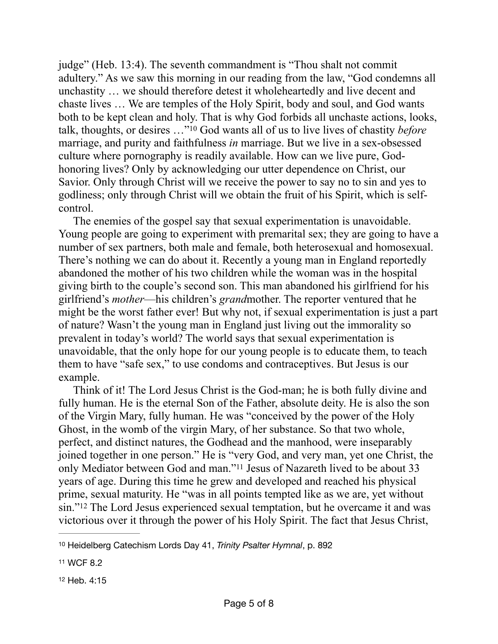<span id="page-4-3"></span>judge" (Heb. 13:4). The seventh commandment is "Thou shalt not commit adultery." As we saw this morning in our reading from the law, "God condemns all unchastity … we should therefore detest it wholeheartedly and live decent and chaste lives … We are temples of the Holy Spirit, body and soul, and God wants both to be kept clean and holy. That is why God forbids all unchaste actions, looks, talk, thoughts, or desires …"[10](#page-4-0) God wants all of us to live lives of chastity *before* marriage, and purity and faithfulness *in* marriage. But we live in a sex-obsessed culture where pornography is readily available. How can we live pure, Godhonoring lives? Only by acknowledging our utter dependence on Christ, our Savior. Only through Christ will we receive the power to say no to sin and yes to godliness; only through Christ will we obtain the fruit of his Spirit, which is selfcontrol.

The enemies of the gospel say that sexual experimentation is unavoidable. Young people are going to experiment with premarital sex; they are going to have a number of sex partners, both male and female, both heterosexual and homosexual. There's nothing we can do about it. Recently a young man in England reportedly abandoned the mother of his two children while the woman was in the hospital giving birth to the couple's second son. This man abandoned his girlfriend for his girlfriend's *mother*—his children's *grand*mother. The reporter ventured that he might be the worst father ever! But why not, if sexual experimentation is just a part of nature? Wasn't the young man in England just living out the immorality so prevalent in today's world? The world says that sexual experimentation is unavoidable, that the only hope for our young people is to educate them, to teach them to have "safe sex," to use condoms and contraceptives. But Jesus is our example.

<span id="page-4-4"></span>Think of it! The Lord Jesus Christ is the God-man; he is both fully divine and fully human. He is the eternal Son of the Father, absolute deity. He is also the son of the Virgin Mary, fully human. He was "conceived by the power of the Holy Ghost, in the womb of the virgin Mary, of her substance. So that two whole, perfect, and distinct natures, the Godhead and the manhood, were inseparably joined together in one person." He is "very God, and very man, yet one Christ, the only Mediator between God and man.["](#page-4-1)<sup>[11](#page-4-1)</sup> Jesus of Nazareth lived to be about 33 years of age. During this time he grew and developed and reached his physical prime, sexual maturity. He "was in all points tempted like as we are, yet without sin.["](#page-4-2)<sup>[12](#page-4-2)</sup> The Lord Jesus experienced sexual temptation, but he overcame it and was victorious over it through the power of his Holy Spirit. The fact that Jesus Christ,

<span id="page-4-5"></span><span id="page-4-0"></span>[<sup>10</sup>](#page-4-3) Heidelberg Catechism Lords Day 41, *Trinity Psalter Hymnal*, p. 892

<span id="page-4-1"></span>[<sup>11</sup>](#page-4-4) WCF 8.2

<span id="page-4-2"></span>[<sup>12</sup>](#page-4-5) Heb. 4:15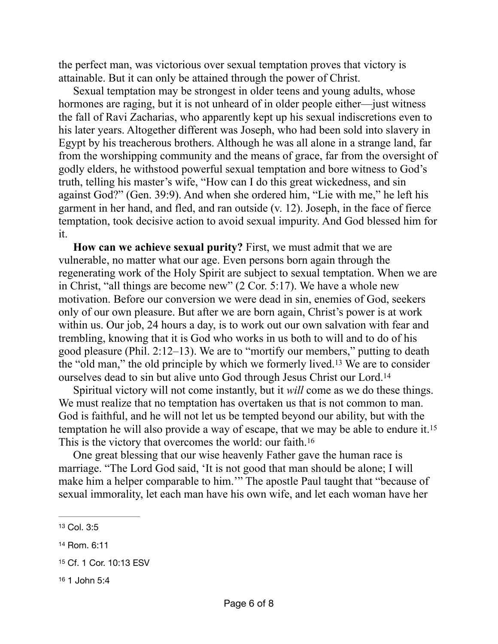the perfect man, was victorious over sexual temptation proves that victory is attainable. But it can only be attained through the power of Christ.

Sexual temptation may be strongest in older teens and young adults, whose hormones are raging, but it is not unheard of in older people either—just witness the fall of Ravi Zacharias, who apparently kept up his sexual indiscretions even to his later years. Altogether different was Joseph, who had been sold into slavery in Egypt by his treacherous brothers. Although he was all alone in a strange land, far from the worshipping community and the means of grace, far from the oversight of godly elders, he withstood powerful sexual temptation and bore witness to God's truth, telling his master's wife, "How can I do this great wickedness, and sin against God?" (Gen. 39:9). And when she ordered him, "Lie with me," he left his garment in her hand, and fled, and ran outside (v. 12). Joseph, in the face of fierce temptation, took decisive action to avoid sexual impurity. And God blessed him for it.

**How can we achieve sexual purity?** First, we must admit that we are vulnerable, no matter what our age. Even persons born again through the regenerating work of the Holy Spirit are subject to sexual temptation. When we are in Christ, "all things are become new" (2 Cor. 5:17). We have a whole new motivation. Before our conversion we were dead in sin, enemies of God, seekers only of our own pleasure. But after we are born again, Christ's power is at work within us. Our job, 24 hours a day, is to work out our own salvation with fear and trembling, knowing that it is God who works in us both to will and to do of his good pleasure (Phil. 2:12–13). We are to "mortify our members," putting to death the "old man," the old principle by which we formerly lived.<sup>[13](#page-5-0)</sup> We are to consider ourselves dead to sin but alive unto God through Jesus Christ our Lord[.14](#page-5-1)

<span id="page-5-5"></span><span id="page-5-4"></span>Spiritual victory will not come instantly, but it *will* come as we do these things. We must realize that no temptation has overtaken us that is not common to man. God is faithful, and he will not let us be tempted beyond our ability, but with the temptation he will also provide a way of escape, that we may be able to endure it[.15](#page-5-2) This is the victory that overcomes the world: our faith.[16](#page-5-3)

<span id="page-5-7"></span><span id="page-5-6"></span>One great blessing that our wise heavenly Father gave the human race is marriage. "The Lord God said, 'It is not good that man should be alone; I will make him a helper comparable to him.'" The apostle Paul taught that "because of sexual immorality, let each man have his own wife, and let each woman have her

<span id="page-5-0"></span>[<sup>13</sup>](#page-5-4) Col. 3:5

<span id="page-5-1"></span>[<sup>14</sup>](#page-5-5) Rom. 6:11

<span id="page-5-2"></span>[<sup>15</sup>](#page-5-6) Cf. 1 Cor. 10:13 ESV

<span id="page-5-3"></span>[<sup>16</sup>](#page-5-7) 1 John 5:4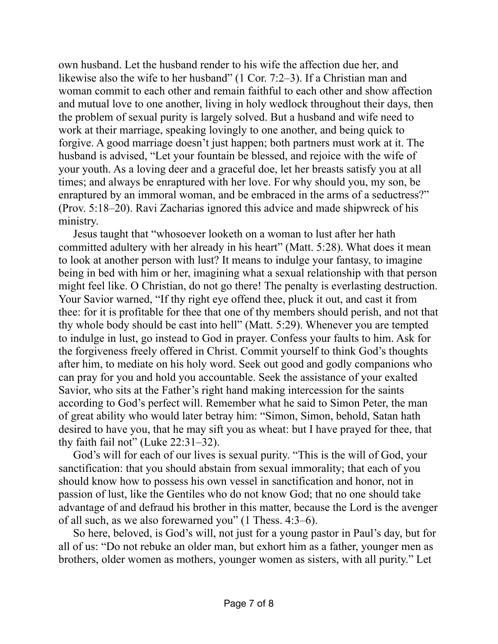own husband. Let the husband render to his wife the affection due her, and likewise also the wife to her husband" (1 Cor. 7:2–3). If a Christian man and woman commit to each other and remain faithful to each other and show affection and mutual love to one another, living in holy wedlock throughout their days, then the problem of sexual purity is largely solved. But a husband and wife need to work at their marriage, speaking lovingly to one another, and being quick to forgive. A good marriage doesn't just happen; both partners must work at it. The husband is advised, "Let your fountain be blessed, and rejoice with the wife of your youth. As a loving deer and a graceful doe, let her breasts satisfy you at all times; and always be enraptured with her love. For why should you, my son, be enraptured by an immoral woman, and be embraced in the arms of a seductress?" (Prov. 5:18–20). Ravi Zacharias ignored this advice and made shipwreck of his ministry.

Jesus taught that "whosoever looketh on a woman to lust after her hath committed adultery with her already in his heart" (Matt. 5:28). What does it mean to look at another person with lust? It means to indulge your fantasy, to imagine being in bed with him or her, imagining what a sexual relationship with that person might feel like. O Christian, do not go there! The penalty is everlasting destruction. Your Savior warned, "If thy right eye offend thee, pluck it out, and cast it from thee: for it is profitable for thee that one of thy members should perish, and not that thy whole body should be cast into hell" (Matt. 5:29). Whenever you are tempted to indulge in lust, go instead to God in prayer. Confess your faults to him. Ask for the forgiveness freely offered in Christ. Commit yourself to think God's thoughts after him, to mediate on his holy word. Seek out good and godly companions who can pray for you and hold you accountable. Seek the assistance of your exalted Savior, who sits at the Father's right hand making intercession for the saints according to God's perfect will. Remember what he said to Simon Peter, the man of great ability who would later betray him: "Simon, Simon, behold, Satan hath desired to have you, that he may sift you as wheat: but I have prayed for thee, that thy faith fail not" (Luke 22:31–32).

God's will for each of our lives is sexual purity. "This is the will of God, your sanctification: that you should abstain from sexual immorality; that each of you should know how to possess his own vessel in sanctification and honor, not in passion of lust, like the Gentiles who do not know God; that no one should take advantage of and defraud his brother in this matter, because the Lord is the avenger of all such, as we also forewarned you" (1 Thess. 4:3–6).

So here, beloved, is God's will, not just for a young pastor in Paul's day, but for all of us: "Do not rebuke an older man, but exhort him as a father, younger men as brothers, older women as mothers, younger women as sisters, with all purity." Let